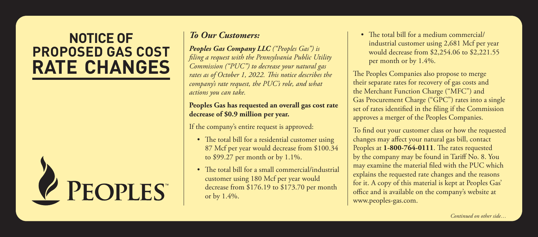## **NOTICE OF PROPOSED GAS COST RATE CHANGES**



## *To Our Customers:*

*Peoples Gas Company LLC ("Peoples Gas") is filing a request with the Pennsylvania Public Utility Commission ("PUC") to decrease your natural gas rates as of October 1, 2022. This notice describes the company's rate request, the PUC's role, and what actions you can take.*

## **Peoples Gas has requested an overall gas cost rate decrease of \$0.9 million per year.**

If the company's entire request is approved:

- The total bill for a residential customer using 87 Mcf per year would decrease from \$100.34 to \$99.27 per month or by 1.1%.
- The total bill for a small commercial/industrial customer using 180 Mcf per year would decrease from \$176.19 to \$173.70 per month or by 1.4%.

• The total bill for a medium commercial/ industrial customer using 2,681 Mcf per year would decrease from \$2,254.06 to \$2,221.55 per month or by 1.4%.

The Peoples Companies also propose to merge their separate rates for recovery of gas costs and the Merchant Function Charge ("MFC") and Gas Procurement Charge ("GPC") rates into a single set of rates identified in the filing if the Commission approves a merger of the Peoples Companies.

To find out your customer class or how the requested changes may affect your natural gas bill, contact Peoples at **1-800-764-0111**. The rates requested by the company may be found in Tariff No. 8. You may examine the material filed with the PUC which explains the requested rate changes and the reasons for it. A copy of this material is kept at Peoples Gas' office and is available on the company's website at www.peoples-gas.com.